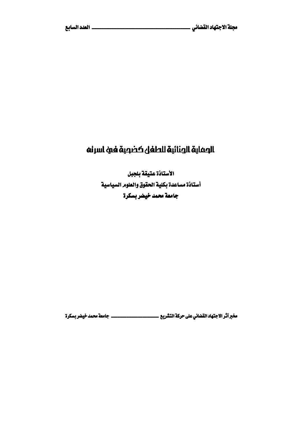# الصماية الجنائية للطفل كضصية فئ اسرنه

الأستاذة عتيقة بلجبل أستاذة مساعدة بكلية الحقوق والعلوم السياسية جامعة محمد خيضر بسكرة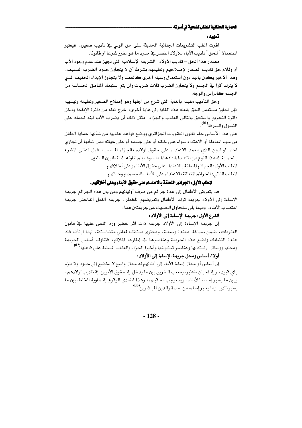#### الحماية الجنانية للطفل كضحية في أسرته .

#### تمهيد:

أقرت أغلب التشريعات الجنائية الحديثة على حق الولى في تأديب صغيره، فيعتبر استعمالا " للحق " تأديب الآباء للأولاد القصر في حدود ما هو مقرر شرعا أو فانونا.

مصدر هذا الحق – تأديب الأولاد - الشريعة الإسلامية التي تجيز عند عدم وجود الأب أو وللام حق تأديب الصغار لإصلاحهم وتعليمهم بشرط أن لا يتجاوز حدود الضرب البسيط، وهذا الأخير يكون باليد دون استعمال وسيلة أخرى كالعصا ولا يتجاوز الإيذاء الخفيف الذي لا يترك أثرا ﴾ الجسم ولا يتجاوز الضرب ثلاث ضربات وان يتم استبعاد المناطق الحساسة من الجسم كالرأس والوجه.

وحق التأديب مقيدا بالغاية التي شرع من اجلها وهو إصلاح الصغير وتعليمه وتهذيبه فإن تجاوز مستعمل الحق بفعله هذه الغاية إلى غاية أخرى، خرج فعله من دائرة الإباحة ودخل دائرة التجريم واستحق بالتالي العقاب والجزاء مثال ذلك أن يضرب الأب ابنه لحمله على التسول والسرقة<sup>(01)</sup>.

على هذا الأساس جاء قانون العقوبات الجزائري ووضع قواعد عقابية من شأنها حماية الطفل من سوء المعاملة أو الاعتداء سواء على خلقه أو على جسمه أو على حياته فمن شأنها أن تجازي احد الوالدين الذي يتعمد الاعتداء على حقوق أولاده بالجزاء المناسب، فهل اعتنى المشرع بالحماية في هذا النوع من الاعتداءات؟ هذا ما سوف يتم تناوله في المطلبين التاليين.

المطلب الأول: الجرائم المتعلقة بالاعتداء على حقوق الأبناء وعلى أخلافهم.

المطلب الثاني: الجرائم المتعلقة بالاعتداء على الأبناء في جسمهم وحياتهم.

# المطلب الأول: الجرائم المتعلقة بالاعتداء على حقوق الأبناء وعلى أخلاقهم.

قد يتعرض الأطفال إلى عدة جرائم من طرف أوليائهم ومن بين هذه الجرائم جريمة الإساءة إلى الأولاد جريمة ترك الأطفال وتعريضهم للخطر، جريمة الفعل الفاحش جريمة اغتصاب الأبناء، وفيما يلي سنحاول الحديث عن جريمتين هما:

### الفرع الأول: جريمة الإساءة إلى الأولاد :

إن جريمة الإساءة إلى الأولاد جريمة ذات اثر خطير ورد النص عليها في قانون العقوبات، ضمن صياغة ۖ معقدة وصعبة، ومحتوى مكثف لمعاني متشابكة، لهذا ارتأينا فك عقدة التشابك ونضع هذه الجريمة وعناصرها في إطارها الملائم، فتناولنا أساس الجريمة ومحلها ووسائل ارتكابها وعناصر تكوينها وأخيرا الجزاء والعقاب المسلط على فاعلها<sup>(02</sup>)

### أولا/ أساس ومحل جريمة الإساءة إلى الأولاد:

إن أساس أو مجال إساءة الآباء إلى أبنائهم له مجال واسع لا يخضع إلى حدود ولا يلزم بأي قيود ، وقِے أحيان كثيرة يصعب التفريق بين ما يدخل فے حقوق الأبوين فے تأديب أولادهم ، وبين ما يعتبر إساءة للأبناء، ويستوجب معاقبتهما وهذا لتفادى الوقوع في هاوية الخلط بين ما يعتبر تأديبا وما يعتبر إساءة من احد الوالدين الماشرين<sup>(03)</sup> .

 $-128-$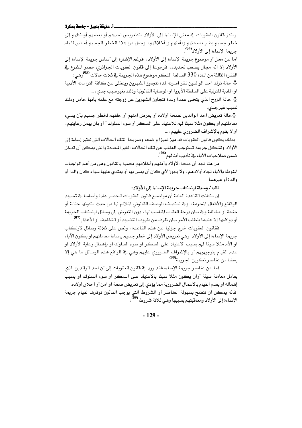### \_ أ. عتيقة بلجبل - جامعة بسكرة

ركز قانون العقوبات ية معنى الإساءة إلى الأولاد كتعريض احدهم أو بعضهم أوكلهم إلى خطر جسيم يضر بصحتهم وبأمنهم وبأخلاقهم، وجعل من هذا الخطر الجسيم أساس لقيام<br>جريمة الإساءة إلى الأولاد<sup>041</sup>.

أما عن محل أو موضوع جريمة الإساءة إلى الأولاد ، فرغم الإشارة إلى أساس جريمة الإساءة إلى الأولاد إلا انه مجال يصعب تحديده، فرجوعا إلى قانون العقوبات الجزائري حصر المشرع في الفقرة الثالثة من المادة 330 السالفة الذكر موضوع هذه الجريمة في ثلاث حالات <sup>05</sup>0، وهي: ۖ

\* حالة ترك احد الوالدين لمقر أسرته لمدة تتجاوز الشهرين ويتخلى عن كافة التزاماته الأدبية أو المادية المترتبة على السلطة الأبوية أو الوصاية القانونية وذلك بغير سبب جدي، ...

\* حالة الزوج الذي يتخلى عمدا ولمدة تتجاوز الشهرين عن زوجته مع علمه بأنها حامل وذلك لسبب غير جدي.

ج<br>جحالة تعريض احد الوالدين لصحة أولاده أو يعرض أمنهم أو خلقهم لخطر جسيم بأن ي*سيء* معاملتهم أو يكون مثلا سيئًا لهم للاعتياد على السكر أو سوء السلوك أ أو بأن يهمل رعايتهم، أو لا يقوم بالإشراف الضروري عليهم، ...

بذلك يكون فانون العقوبات قد ميز تميز! واضحا وصريحا لتلك الحالات التي تعتبر إساءة إلى الأولاد وتشكل جريمة تستوجب العقاب عن تلك الحالات الغير المحددة والتي يمكن أن تدخل ضمن صلاحيات الآباء في تأديب أبنائهم<sup>060</sup>).

من هنا نجد أن صحة الأولاد وأمنهم وأخلاقهم محمية بالقانون وهي من أهم الواجبات المنوطة بالآباء تجاه أولادهم، ولا يجوز لأي كان أن يمس بها أو يعتدي عليها سواء كان والدا أو والدة أو غيرهما.

# ثانيا/ وسيلة ارتكاب جريمة الإساءة إلى الأولاد:

إن كانت القاعدة العامة أن مواضيع فانون العقوبات تنحصر عادة وأساسا في تحديد الوفائع والأفعال الجرمة ، ويـْ تكييف الوصف القانوني الملائم لها من حيث كونها جناية أو جنحة أو مخالفة وفج بيان درجة العقاب المناسب لها ، دون التعرض إلى وسائل ارتكاب الجريمة أو دوافعها إلا عندما يتطلب الأمر بيان ظرف من ظروف التشديد أو التخفيف أو الأعذار<sup>07</sup>) .

فقانون العقوبات خرج جزئيا عن هذه القاعدة، ونص على ثلاثة وسائل لارتكاب جريمة الإساءة إلى الأولاد وهي تعريض الأولاد إلى خطر جسيم بإساءة معاملتهم أو يكون الآباء أو الأم مثلا سيئًا لهم بسبب الاعتياد على السكر أو سوء السلوك أو بإهمال رعاية الأولاد أو عدم القيام بتوجيهيهم أو بالإشراف الضروري عليهم وهي في الواقع هذه الوسائل ما هي إلا بعضا من عناصر تكوين الجريمة<sup>(08)</sup>.

أما عن عناصر جريمة الإساءة فقد ورد في قانون العقوبات إلى أن احد الوالدين الذي يعامل معاملة سيئة أوان يكون مثلا سيئا بالاعتياد على السكر أو سوء السلوك أو بسبب إهماله أو بعدم القيام بالأعمال الضرورية مما يؤدي إلى تعريض صحة أو امن أو أخلاق أولاده. فانه يمكن أن تتضح بسهولة العناصر أو الشروط التي يوجب القانون توفرها لقيام جريمة الإساءة إلى الأولاد ومعاًهبتهم بسببها وهي ثلاثة شروط <sup>(09</sup>):

 $-129-$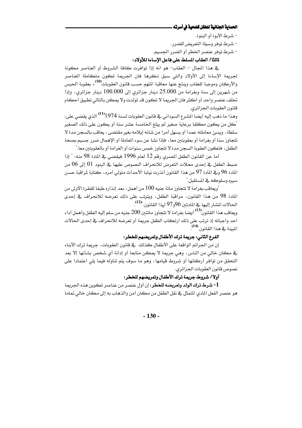### الحماية الجنائية للطفل كضحية في أسرته .

- شرط الأبوة أو البنوة.

- شرط توفر وسيلة التعريض للضرر .

- شرط توفر عنصر الخطر أو الضرر الجسيم.

# ثالثا/ العقاب المسلط على فاعل الإساءة للأولاد:

يٍّ هذا المجال – العقاب- هو انه إذا تواهرت كافة الشروط أو العناصر مكونة لجريمة الإساءة إلى الأولاد والتي سبق ذكرها فان الجريمة تكون متكاملة العناصر والأركان وموجبة للعقاب وينتج عنها معاهبة المتهم حسب فانون العقوبات<sup>(10</sup>) ، بعقوبة الحسن من شهرين إلى سنة وبغرامة من 25.000 دينار جزائري إلى 100.000 دينار جزائري، وإذا تخلف عنصر واحد أو أكثر فان الجريمة لا تكون قد تولدت ولا يمكن بالتالي تطبيق أحكام قانون العقوبات الجزائري.

وهذا ما ذهب إليه أيضا الشرع السوداني في قانون العقوبات لسنة 1974<sup>(11)</sup> الذي يقضى على: "كل من يكون مكلفا برعاية صغير لم يبلغ الخامسة عشر سنة أو يكون على ذلك الصغير سلطة، ويسئ معاملته عمدا أو يسهل أمرا من شانه إيلامه بغير مقتضى، يعاقب بالسجن مدة لا تتجاوز سنة أو بغرامة أو بعقوبتين معا ، فإذا نشا عن سوء الماملة أو الإهمال ضرر جسيم بصحة الطفل، فتكون العقوبة السجن مدة لا تتجاوز خمس سنوات أو الغرامة أو بالعقوبتين معا."

أما عن القانون الطفل المصري رقم 12 لعام 1996 فيقضى في المادة 98 منه: " إذا ضبط الطفل في إحدى محلات التعرض للانحراف النصوص عليها في البنود 10 إلى 06 من المادة 96 وـِـِّ المادة 97 من هذا القانون أنذرت نيابة الأحداث متولى أمره، كتابة لمراقبة حسن سيره وسلوكه في المستقبل."

"ويعاهَب بغرامة لا تتجاوز مائة جنيه 100 من أهمل، بعد إنذاره طبقا للفقرة الأولى من المادة 98 من هذا القانون، مراقبة الطفل، ويترتب على ذلك تعرضه للانحراف في إحدى الحالات الشار إليها في المادتين 96و97 لهذا القانون."<sup>(12</sup>)

ويعاقب هذا القانون<sup>(13</sup>) أيضا بغرامة لا تتجاوز مائتين 200 جنيه من سلم إليه الطفل وأهمل أداء احد واجباته إذ ترتب على ذلك ارتكاب الطفل جريمة أو تعرضه للانحراف في إحدى الحالات المبينة فح هذا القانون <sup>(14</sup>).

### الفرع الثاني: جريمة ترك الأطفال وتعريضهم للخطر:

إن من الجرائم الواقعة على الأطفال كذلك ﴾ قانون العقوبات، جريمة ترك الأبناء يِّ مكان خالي من الناس، وهي جريمة لا يمكن متابعة أو إدانة أي شخص بشأنها إلا بعد التحقق من توافر أركانها أو شروط قيامها، وهو ما سوف يتم تناوله فيما يلي اعتمادا على نصوص قانون العقوبات الجزائري.

## أولا/ شروط جريمة ترك الأطفال وتعريضهم للخطر:

1**- شرط ترك الولد وتعريضه للخطر:** إن أول عنصر من عناصر تكوين هذه الجريمة هو عنصر الفعل المادي المتمثل في نقل الطفل من مكان آمن والذهاب به إلى مكان خالي تماما

 $-130-$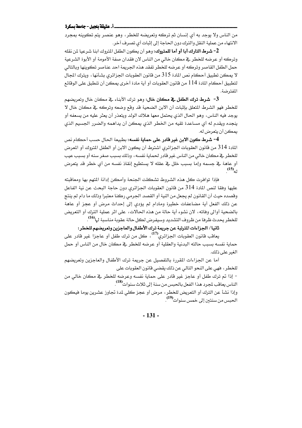### \_\_ أ. عتيقة بلجيل - جامعة بسكرة

من الناس ولا يوجد به أي إنسان ثم تركه وتعريضه للخطر ، وهو عنصر يتم تكوينه بمجرد الانتهاء من عملية النقل والترك دون الحاجة إلى إثبات أي تصرف آخر.

2- شرط التارك أبا أو أما للمتروك: وهو أن يكون الطفل المتروك ابنا شرعيا لن نقله وتركه أو عرضه للخطر \_ فصكان خالي من الناس لان فقدان صفة الأمومة أو الأبوة الشرعية حمل الطفل القاصر وتركه أو عرضه للخطر تفقد هذه الجريمة احد عناصر تكوينها وبالتالي لا بمكن تطبيق أحكام نص المادة 315 من قانون العقوبات الجزائري بشأنها ، ويترك الجال لتطبيق أحكام المادة 114 من قانون العقوبات أو أية مادة أخرى يمكن أن تنطبق على الوقائع المفترضة.

3- شرط ترك الطفل في مكان خال: وهو ترك الأبناء في مكان خال وتعريضهم للخطر فهو الشرط المتعلق بإثبات أن الابن الضحية قد وقع وضعه وتركه في مكان خال لا يوجد فيه الناس، وهو الحال الذي يحتمل معها هلاك الولد ويتعذر أن يعثر عليه من يسعفه أو ينجده ويقدم له أي مساعدة تقيه من الخطر الذي يمكن أن يداهمه والضرر الجسيم الذي يمكن أن يتعرض له.

4- شرط كون الابن غير قادر على حماية نفسه: بطبيعة الحال حسب أحكام نص المادة 314 من فانون العقوبات الجزائري اشترط أن يكون الابن أو الطفل المتروك أو المعرض للخطر في مكان خالي من الناس غير قادر لحماية نفسه، وذلك بسبب صغر سنه أو بسبب عيب أو عاهة في جسمه وإما بسبب خلل في عقله لا يستطيع إنقاذ نفسه من أي خطر قد يتعرض  $(15)$ <sub>41</sub>

فإذا توافرت كل هذه الشروط تشكلت الجنحة وأمكن إدانة المتهم بها ومعاقبته عليها وفقا لنص المادة 314 من قانون العقوبات الجزائري دون حاجة البحث عن نية الفاعل وقصده حيث أن القانون لم يجعل من النية أو القصد الجرمي ركنا معتبرا وذلك ما دام لم ينتج عن ذلك الفعل أية مضاعفات خطيرة ومادام لم يؤدي إلى إحداث مرض أو عجز أو عاهة بالضحية أوالي وفاته، لان نشوءِ أية حالة من هذه الحالات، على اثر عملية الترك أو التعريض للخطر بحدث ظرفا من ظروف التشديد وسيفرض لكل حالة عقوبة مناسبة لها<sup>16</sup>) .

# ثانيا/ الجزاءات المترتبة عن جريمة ترك الأطفال والعاجزين وتعريضهم للخطر:

يعاهب قانون العقوبات الجزائري<sup>(17</sup>)، كل من ترك طفل أو عاجزاً غير قادر عل*ى* حماية نفسه بسبب حالته البدنية والعقلية أو عرضه للخطر في مكان خال من الناس أو حمل الغير على ذلك.

أما عن الجزاءات المقررة بالتفصيل عن جريمة ترك الأطفال والعاجزين وتعريضهم للخطر، فهي على النحو التالي عن ذلك يقضي قانون العقوبات على

- إذا تم ترك طفل أو عاجز غير قادر على حماية نفسه وعرضه للخطر في مكان خالي من الناس يعاقب لمجرد هذا الفعل بالحبس من سنة إلى ثلاث سنوات<sup>(18</sup>.

وإذا نشأ عن الترك أو التعريض للخطر، مرض أو عجز كلي لمدة تجاوز عشرين يوما فيكون الحبس من سنتين إلى خمس سنوات<sup>(19</sup>).

 $-131 -$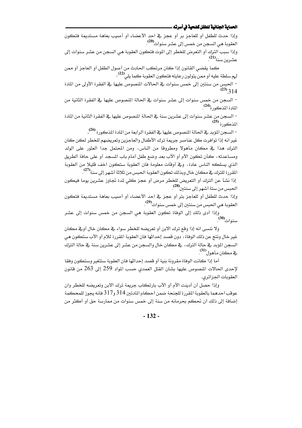#### الحماية الجنائية للطفل كضحية في أسرته ــ

وإذا حدث للطفل أو للعاجز بر أو عجز في احد الأعضاء أو أصيب بعاهة مستديمة فتكون العقوبة هي السجن من خمس إلى عشر سنوات<sup>00</sup>.

وإذا سبب الترك أو التعرض للخطر إلى الموت فتكون العقوبة هي السجن من عشر سنوات إلى عشرين سنة<sup>(21)</sup>.

كما يقضى القانون إذا كان مرتكب الحادث من أصول الطفل أو العاجز أو ممن لهم سلطة عليه أو ممن يتولون رعايته فتكون العقوبة كما يلي<sup>(22)</sup>:

- الحبس من سنتين إلى خمس سنوات في الحالات المنصوص عليها في الفقرة الأولى من المادة  $^{(23)}$  314

– السجن من خمس سنوات إلى عشر سنوات في الحالة المنصوص عليها في الفقرة الثانية من .<br>المادة المذكورة<sup>(24)</sup>.

– السجن من عشر سنوات إلى عشرين سنة في الحالة المنصوص عليها في الفقرة الثانية من المادة  $\tilde{\text{c}}$ المذكورة <sup>(25</sup>

– السجن المؤبد في الحالة المنصوص عليها في الفقرة الرابعة من المادة المذكورة <sup>(26</sup>).

غير انه إذا توافرت كل عناصر جريمة ترك الأطفال والعاجزين وتعريضهم للخطر لكن كان الترك هذا في مكان مأهولا ومطروفا من الناس، ومن المحتمل جدا العثور على الولد ومساعدته، كأن تكون الأم أو الأب بعد وضع طفل أمام باب المسجد أو على حافة الطريق الذي يسلكه الناس عادة، وقِجْ أوقات معلومة فان العقوبة ستكون اخف فليلا من العقوبة المقررة للترك <u>ي</u>ة مكان خال وبذلك تكون العقوبة الحبس من ثلاثة أشهر إلى سنة<sup>(27)</sup>.

إذا نشأ عن الترك أو التعريض للخطر مرض أو عجز كلي لمدة تجاوز عشرين يوما فيكون الحبس من ستة أشهر إلى سنتين<sup>(28)</sup> .

وإذا حدث للطفل أو للعاجز بتر أو عجز في احد الأعضاء أو أصيب بعاهة مستديمة فتكون العقوبة هي الحبس من سنتين إلى خمس سنوات<sup>999</sup>.

وإذا أدى ذلك إلى الوفاة تكون العقوبة هي السجن من خمس سنوات إلى عشر<br>سنوات<sup>(30)</sup>.

ولا ننسي انه إذا وقع ترك الابن أو تعريضه للخطر سواء ڤي مكان خال أوڤي مكان غير خال ونتج عن ذلك الوفاة، دون قصد إحداثها فان العقوبة المقررة للام أو الأب ستكون هي السجن المؤبد في حالة الترك، في مكان خال والسجن من عشر إلى عشرين سنة في حالة الترك هن (<sup>31)</sup>.

أما إذا كانت الوفاة مقرونة بنية أو قصد إحداثها فان العقوبة ستتغير وستكون وفقا لإحدى الحالات المنصوص عليها بشان القتل العمدي حسب المواد 259 إلى 263 من قانون العقوبات الجزائري.

وإذا حصل أن أدينت الأم أو الأب بارتكاب جريمة ترك الابن وتعريضه للخطر وان عوقب احدهما بالعقوبة المقررة للجنحة ضمن أحكام المادتين 314 و317 فانه يجوز للمحكمة إضافة إلى ذلك أن تحكم بحرمانه من سنة إلى خمس سنوات من ممارسة حق أو أكثر من

 $-132-$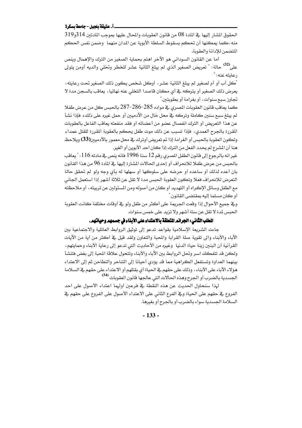### \_ أ. عتيقة بلجبل - جامعة بسكرة

الحقوق الشار إليها ـ2 المادة 08 من قانون العقوبات والمحال عليها بموجب المادتين 314و319 منه،كما يمكنها أن تحكم بسقوط السلطة الأبوية عن المدان منهما ۖ وضمن نفس الحكم المتضمن للإدانة والعقوبة.

أما عن القانون السوداني هو الآخر اهتم بحماية الصغير من الترك والإهمال وينص على<sup>(32</sup>) حالة: " تعريض الصغير الذي لم يبلغ الثانية عشر للخطر وتخلي والديه أومن يتولى رعايته عنه: "

"كل أب أو أم لصغير لم يبلغ الثانية عشر، أوكل شخص يكون ذلك الصغير تحت رعايته، يعرض ذلك الصغير أو يتركه في أي مكان قاصدا التخلي عنه نهائيا ، يعاقب بالسجن مدة لا تجاوز سبح سنوات، أو بغرامة أو بعقوبتين."

كما يعاقب قانون العقوبات المصري في مواده 285-286-287 بالحبس كل من عرض طفلا لم يبلغ سبع سنين كاملة وتركه في محل خال من الآدميين أو حمل غيره على ذلك، فإذا نشأ عن هذا التعريض أو الترك انفصال عضو من أعضائه أو فقد منفعته يعاقب الفاعل بالعقوبات المقررة بالجرح العمدي، فإذا تسبب عن ذلك موت طفل يحكم بالعقوبة المقررة للقتل عمدا ، وتكون العقوبة بالحبس أو الغرامة إذا تم تعريض أوترك في محل معمور بالآدميين(33) ويلاحظ هنا أن المشرع لم يحدد الفعل من الترك إذا كان احد الأبوين أو الغير.

غير انه بالرجوع إلى قانون الطفل المصرى رقم 12 سنة 1996 فانه ينص في مادته 116 : " يعاقب بالحبس من عرض طفلا للانحراف أو إحدى الحالات المشارة إليها في المادة 96 من هذا القانون بان أعده لذلك أو ساعده أو حرضه على سلوكها أو سهلها له بأي وجه ولو لم تحقق حالة التعرض للانحراف فعلا وتكون العقوبة الحبس مدة لا تقل عن ثلاثة أشهر إذا استعمل الجاني مع الطفل وسائل الإكراه أو التهديد أو كان من أصوله ومن المسئولين عن تربيته ، أو ملاحظته أو كان مسلما إليه بمقتضى القانون."

وڤ جميع الأحوال إذا وقعت الجريمة على أكثر من طفل ولو ڤ أوڤات مختلفة كانت العقوبة الحبس لمدة لا تقل عن ستة أشهر ولا تزيد على خمس سنوات.

# المطلب الثَّاني: الجرائم المتعلقة بالاعتداء على الأبناء في جسمهم وحياتهم.

جاءت الشريعة الإسلامية بقواعد تدعو إلى توثيق الروابط العائلية والاجتماعية بين الآباء والأبناء والى تقوية صلة القرابة والمحبة والتعاون ولقد فيل فج أكثر من أية من الآيات القرآنية أن البنين زينة حياة الدنيا ۖ وغيره من الأحاديث التي تدعو إلى رعاية الأبناء وحمايتهم، ولكن قد تتفكك اسر وتحل الروابط بين الآباء والأبناء وتتحول علاقة المحبة إلى بغض فتتشأ بينهما العداوة وتستفعل الكراهية مما قد يؤدى أحيانا إلى التناحر والتطاحن ثم إلى الاعتداء هؤلاء الآباء على الأبناء، وذلك على حقهم في الحياة أي بقتلهم أو الاعتداء على حقهم في السلامة الجسدية بالضرب أو الجرح وهذه الحالات التي عالجها قانون العقوبات <sup>(34</sup>)

لهذا سنحاول الحديث عن هذه النقطة في فرعين أولهما اعتداء الأصول على احد الفروع في حقهم على الحياة وفي الفرع الثاني على الاعتداء الأصول على الفروع على حقهم في السلامة الجسدية سواء بالضرب أو بالجرح أو بغيرها.

 $-133-$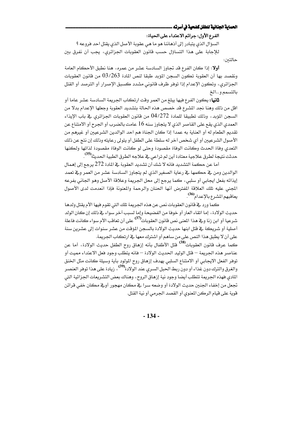### الحماية الجنانية للطفل كضحية في أسرته .

# الفرع الأول: جرائم الاعتداء على الحياة:

السؤال الذي يتبادر إلى أذهاننا هو ما هي عقوبة الأصل الذي يقتل احد فروعه ؟ للإجابة على هذا التساؤل حسب قانون العقوبات الجزائري، يجب أن نفرق بين حالتىن:

أولا: إذا كان الفرع قد تجاوز السادسة عشر من عمره، هنا نطبق الأحكام العامة ونقصد بها أن العقوبة تكون السجن المؤبد طبقا لنص المادة 03/263 من قانون العقوبات الجزائري، وتكون الإعدام إذا توفر ظرف فانوني مشدد كسبق الإصرار أو الترصد أو القتل بالتسمم وسالخ

**ثانيا:** يكون الفرع فيها يبلغ من العمر وقت ارتكاب الجريمة السادسة عشر عاما أو اقل من ذلك وهنا نجد المشرع قد خصص هذه الحالة بتشديد العقوبة وجعلها الإعدام بدلا من السجن المؤبد، وذلك تطبيقا للمادة 04/272 من قانون العقوبات الجزائري في باب الإيذاء العمدي الذي يقع على القاصر الذي لا يتجاوز سنه 16 عامت بالضرب أو الجرح أو الامتناع عن تقديم الطعام له أو العناية به عمدا إذا كان الجناة هم احد الوالدين الشرعيين أو غيرهم من الأصول الشرعيين أو أي شخص آخر له سلطة على الطفل أو يتولى رعايته وذلك إن نتج عن ذلك التعدى وفاة الحدث وكانت الوفاة مقصودة وحتى لو كانت الوفاة مقصودة لذاتها ولكنها حدثت نتيجة لطرق علاجية معتادة أين لم تراعى <u>ب</u>خ علاجه الطرق الطبية الحديثة<sup>(45)</sup> .

أما عن حكمة التشديد فانه لا شك أن تشديد العقوبة في المادة 272 برجع إلى إهمال الوالدين ومن في حكمها في رعاية الصغير الذي لم يتجاوز السادسة عشر من العمر وفي تعمد إيذائه بفعل ايجابي أو سلبي، كما يرجع إلى محل الجريمة وعلاقة الأصل وهو الجاني بفرعه المجنى عليه تلك العلاقة المفترض أنها الحنان والرحمة والمعنونة فإذا انعدمت لدى الأصول يعاقبهم المشرع بالإعدام<sup>36</sup>).

كما ورد في قانون العقوبات نص عن هذه الجريمة تلك التي تقوم فيها الأم يقتل ولدها حديث الولادة، إما اتقاء العار أو خوفا من الفضيحة وإما لسبب آخر سواء في ذلك إن كان الولد .<br>شرعيا أو ابن زنا و<u>ب</u>خ هذا المنى نص فانون العقوبات<sup>375</sup> على أن تعاقب الأم سواء كانت فاعلة أصلية أو شريكة في فتل ابنها حديث الولادة بالسجن المؤقت من عشر سنوات إلى عشرين سنة على أن لا يطبق هذا النص على من ساهم أو اشترك معها في ارتكاب الجريمة.

كما عرف قانون العقوبات<sup>(38</sup> قتل الأطفال بأنه إزهاق روح الطفل حديث الولادة، أما عن عناصر هذه الجريمة — قتل الوليد الحديث الولادة — فانه يتطلب وجود فعل الاعتداء مميت أو توفر الفعل الايجابي أو الامتناع السلبي يهدف إزهاق روح المولود بأية وسيلة كانت مثل الخنق والغرق والترك دون عذاء أو دون ريط الحبل السرى عند الولادة<sup>(39)</sup> ، زيادة على هذا توفر العنصر المادي فهذه الجريمة تتطلب أيضا وجود نية إزهاق الروح، وهناك بعض التشريعات الجزائية التي تجعل من إخفاء الجنين حديث الولادة أو وضعه سرا في مكان مهجور أوفي مكان خفي قرائن قوية على فيام الركن المعنوي أو القصد الجرمي أو نية القتل.

 $-134-$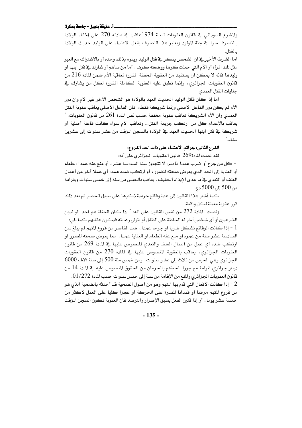### \_\_ أ. عتيقة بلجبل - جامعة بسكرة

والمشرع السوداني في فانون العقوبات لسنة 1974عاقب في مادته 270 على إخفاء الولادة بالتصرف سرا ﴾ جثة المولود ويعتبر هذا التصرف بفعل الاعتداء على الوليد حديث الولادة بالقتل.

أما الشرط الأخير في أن الشخص يفكر في قتل الوليد ويقوم بذلك وحده أو بالاشتراك مع الغير مثل تلك المرأة أو الأم التي حملت كرها ووضعته كرها ، أما من ساهم أو شارك في فتل ابنها أو وليدهـا فانه لا يمكن أن يستفيد من العقوبة المخففة المقررة لمعاقبة الأم ضمن المادة 216 من قانون العقوبات الجزائري، وإنما تطبق عليه العقوبة الكاملة المقررة لكل من يشارك يخ جنايات القتل العمدى.

أما إذا كان قاتل الوليد الحديث العهد بالولادة هو الشخص الآخر غير الأم وان دور الأم لم يكن دور الفاعل الأصلي وإنما شريكة فقط، فان الفاعل الأصلي يعاقب عقوبة القتل العمدى وان الأم الشريكة تعاقب عقوبة مخففة حسب نص المادة 261 من قانون العقوبات: " يعاهب بالإعدام كل من ارتكب جريمة القتل... وتعاهب الأم سواء كانت فاعلة أصلية أو شريكة في فتل ابنها الحديث العهد في الولادة بالسجن المؤقت من عشر سنوات إلى عشرين سنة..."

### الفرع الثاني: جرائم الاعتداء على ذات احد الفروع:

لقد نصت المادة269 قانون العقوبات الجزائري على أنه:

- كل من جرح أو ضرب عمدا فاصرا لا تتجاوز سنة السادسة عشر ، أو منع عنه عمدا الطعام أو العناية إلى الحد الذي يعرض صحته للضرر ، أو ارتكب ضده همدا أي عملا آخر من أعمال العنف أو التعدي في ما عدى الإيذاء الخفيف، يعاقب بالحبس من سنة إلى خمس سنوات وبغرامة من 500 إلى 5000 دج.

كما أشار هذا القانون إلى عدة وفائع جرمية ذكرها على سبيل الحصر ثم بعد ذلك قرر عقوبة معينة لكل واقعة.

ونصت المادة 272 من نفس القانون على انه: " إذا كان الجناة هم احد الوالدين الشرعيين أو أي شخص آخر له السلطة على الطفل أو يتولى رعايته فيكون عقابهم كما يلي: l - إذا كانت الوقائع تشكل ضربا أو جرحا عمدا ، ضد القاصر من فروع المتهم لم يبلغ سن السادسة عشر سنة من عمره أو منع عنه الطعام أو العناية عمدا ، مما يعرض صحته للضرر أو ارتكب ضده أي عمل من أعمال العنف والتعدي المنصوص عليها في المادة 269 من قانون العقوبات الجزائري، يعاقب بالعقوبة المنصوص عليها في المادة 270 من قانون العقوبات الجزائري وهي الحبس من ثلاث إلى عشر سنوات، ومن خمس مئة 500 إلى ستة آلاف 6000 دينار جزائري غرامة مع جوزا الحكم بالحرمان من الحقوق المنصوص عليه في المادة 14 من قانون العقوبات الجزائري والمنع من الإقامة من سنة إلى خمس سنوات حسب المادة 272/ 01.

2 - إذا كانت الأفعال التي قام بها المتهم وهو من أصول الضحية قد أحدثه بالضحية الذي هو من فروع المتهم مرضا أو فقدانا للقدرة على الحركة أو عجزا كليا على العمل لأكثر من خمسة عشر يوما ، أو إذا فترن الفعل بسبق الإصرار والترصد فان العقوبة تكون السجن المؤقت

 $-135 -$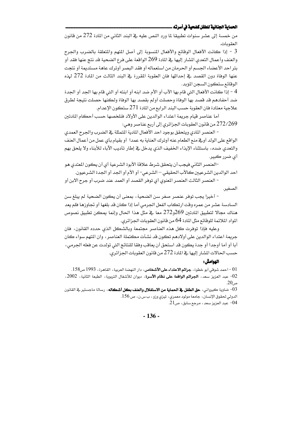### الحماية الجنائية للطفل كضحية في أسرته ــ

من خمسة إلى عشر سنوات تطبيقا لما ورد النص عليه في البند الثاني من المادة 272 من قانون العقوبات.

3 - إذا كانت الأفعال الوفائع والأفعال المسوبة إلى أصل المتهم والمتعلقة بالضرب والجرح والعنف وأعمال التعدي المشار إليها في المادة 269 الواقعة على فرع الضحية قد نتج عنها فقد أو بتر احد الأعضاء الجسم أو الحرمان من استعماله أو فقد البصر أوترك عاهة مستديمة أو نتجت عنها الوِفاءَ دون القصد في إحداثها فان العقوبة المقررة في البند الثالث من المادة 272 لهذه الوقائع ستكون السجن المؤيد.

4 - إذا كانت الأفعال التي قام بها الأب أو الأم ضد ابنه أو ابنته أو التي قام بها الجد أو الجدة ضد أحفادهم قد قصد بها الوفاة وحصلت أولم بقصد بها الوفاة ولكنها حصلت نتيجة لطرق علاجية معتادة فان العقوبة حسب البند الرابع من المادة 271 ستكون الإعدام.

أما عناصر فيام جريمة اعتداء الوالدين على الأولاد فنلخصها حسب أحكام المادتين 272/269 من قانون العقوبات الجزائري إلى أريع عناصر وهي:

- العنصر المادي ويتحقق بوجود احد الأفعال المادية المتمثلة في الضرب والجرح العمدي الواقع على الولد أوقے منع الطعام عنه أوترك العناية به عمدا أو بقيام بأى عمل من أعمال العنف والتعدي ضده، باستثناء الإيذاء الخفيف الذي يدخل فج إطار تأديب الآباء للأبناء ولا يلحق بهم اَي ضرر ڪبير.

-العنصر الثاني فيجب أن يتحقق شرط علاقة الأبوة الشرعية أي أن يكون المتدى هو احد الوالدين الشرعيين كالأب الحقيقي – الشرعي- أو الأم أو الجد أو الجدة الشرعيون.

– العنصر الثالث العنصر المعنوي أي توهر القصد أو العمد عند ضرب أو جرح الابن أو الصغير.

- أخيرا يجب توفر عنصر صغر سن الضحية ، بمعنى أن يكون الضحية لم يبلغ سن السادسة عشر من عمره وقت ارتكاب الفعل الجرمي أما إذا كان قد بلغها أو تجاوزها فلم يعد هناك مجالا لتطبيق المادتين 269و272 معا ية مثل هذا الحال وإنما يمكن تطبيق نصوص المواد الملائمة للوفائع مثل المادة 64 من فانون العقوبات الجزائري.

وعليه فإذا توفرت كل هذه العناصر مجتمعة وبالشكل الذي حدده القانون، فان جريمة اعتداء الوالدين على أولادهم تكون قد نشأت مكتملة العناصر ، وان المتهم سواء كان أبا أو أما أوجدا أو جدة يكون قد استحق أن يعاقب وفقا للنتائج التي تولدت عن فعله الجرمي، حسب الحالات المشار إليها في المادة 272 من قانون العقوبات الجزائري.

### الهوامش :

احمد شوقي أبو خطوة، **جرائم الاعتداء على الأشخاص**، دار النهضة العربية، القاهرة، 1993 ص158. 02- عبد العزيز سعد، ا**لجرائم الواقعة على نظام الأسرة**، ديوان للأشغال التربوية، الطبعة الثانية، 2002،  $.20\,$ ص

فساوية كيرواني، **حق الطفل في الحماية من الاستغلال والعنف بكل أشكاله** ، رسالة ماجستير في القانون -03 الدولي لحقوق الإنسان، جامعة مولود معمري، تيزي وزو، بسن، ص 156.  $21$ عبد العزيز سعد ، مرجع سابق ، ص $-04$ 

 $-136-$